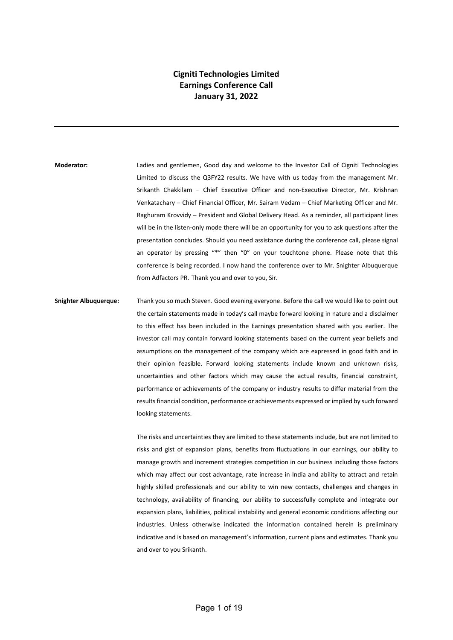## **Cigniti Technologies Limited Earnings Conference Call January 31, 2022**

**Moderator:** Ladies and gentlemen, Good day and welcome to the Investor Call of Cigniti Technologies Limited to discuss the Q3FY22 results. We have with us today from the management Mr. Srikanth Chakkilam – Chief Executive Officer and non-Executive Director, Mr. Krishnan Venkatachary – Chief Financial Officer, Mr. Sairam Vedam – Chief Marketing Officer and Mr. Raghuram Krovvidy – President and Global Delivery Head. As a reminder, all participant lines will be in the listen-only mode there will be an opportunity for you to ask questions after the presentation concludes. Should you need assistance during the conference call, please signal an operator by pressing "\*" then "0" on your touchtone phone. Please note that this conference is being recorded. I now hand the conference over to Mr. Snighter Albuquerque from Adfactors PR. Thank you and over to you, Sir.

**Snighter Albuquerque:** Thank you so much Steven. Good evening everyone. Before the call we would like to point out the certain statements made in today's call maybe forward looking in nature and a disclaimer to this effect has been included in the Earnings presentation shared with you earlier. The investor call may contain forward looking statements based on the current year beliefs and assumptions on the management of the company which are expressed in good faith and in their opinion feasible. Forward looking statements include known and unknown risks, uncertainties and other factors which may cause the actual results, financial constraint, performance or achievements of the company or industry results to differ material from the results financial condition, performance or achievements expressed or implied by such forward looking statements.

> The risks and uncertainties they are limited to these statements include, but are not limited to risks and gist of expansion plans, benefits from fluctuations in our earnings, our ability to manage growth and increment strategies competition in our business including those factors which may affect our cost advantage, rate increase in India and ability to attract and retain highly skilled professionals and our ability to win new contacts, challenges and changes in technology, availability of financing, our ability to successfully complete and integrate our expansion plans, liabilities, political instability and general economic conditions affecting our industries. Unless otherwise indicated the information contained herein is preliminary indicative and is based on management's information, current plans and estimates. Thank you and over to you Srikanth.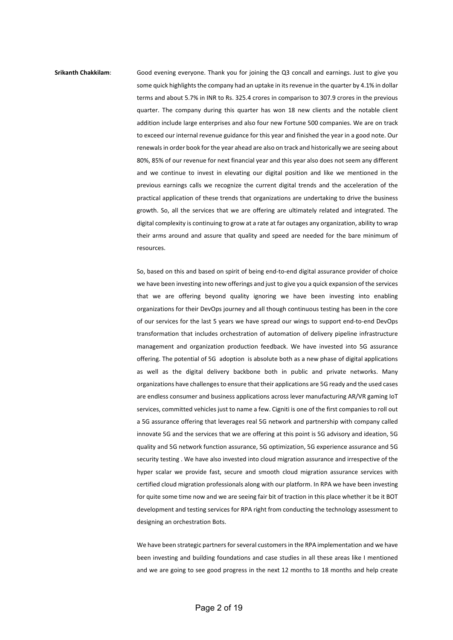## some quick highlights the company had an uptake in its revenue in the quarter by 4.1% in dollar terms and about 5.7% in INR to Rs. 325.4 crores in comparison to 307.9 crores in the previous quarter. The company during this quarter has won 18 new clients and the notable client addition include large enterprises and also four new Fortune 500 companies. We are on track to exceed our internal revenue guidance for this year and finished the year in a good note. Our

**Srikanth Chakkilam**: Good evening everyone. Thank you for joining the Q3 concall and earnings. Just to give you

renewals in order book for the year ahead are also on track and historically we are seeing about 80%, 85% of our revenue for next financial year and this year also does not seem any different and we continue to invest in elevating our digital position and like we mentioned in the previous earnings calls we recognize the current digital trends and the acceleration of the practical application of these trends that organizations are undertaking to drive the business growth. So, all the services that we are offering are ultimately related and integrated. The digital complexity is continuing to grow at a rate at far outages any organization, ability to wrap their arms around and assure that quality and speed are needed for the bare minimum of resources.

So, based on this and based on spirit of being end-to-end digital assurance provider of choice we have been investing into new offerings and just to give you a quick expansion of the services that we are offering beyond quality ignoring we have been investing into enabling organizations for their DevOps journey and all though continuous testing has been in the core of our services for the last 5 years we have spread our wings to support end-to-end DevOps transformation that includes orchestration of automation of delivery pipeline infrastructure management and organization production feedback. We have invested into 5G assurance offering. The potential of 5G adoption is absolute both as a new phase of digital applications as well as the digital delivery backbone both in public and private networks. Many organizations have challenges to ensure that their applications are 5G ready and the used cases are endless consumer and business applications across lever manufacturing AR/VR gaming IoT services, committed vehicles just to name a few. Cigniti is one of the first companies to roll out a 5G assurance offering that leverages real 5G network and partnership with company called innovate 5G and the services that we are offering at this point is 5G advisory and ideation, 5G quality and 5G network function assurance, 5G optimization, 5G experience assurance and 5G security testing . We have also invested into cloud migration assurance and irrespective of the hyper scalar we provide fast, secure and smooth cloud migration assurance services with certified cloud migration professionals along with our platform. In RPA we have been investing for quite some time now and we are seeing fair bit of traction in this place whether it be it BOT development and testing services for RPA right from conducting the technology assessment to designing an orchestration Bots.

We have been strategic partners for several customers in the RPA implementation and we have been investing and building foundations and case studies in all these areas like I mentioned and we are going to see good progress in the next 12 months to 18 months and help create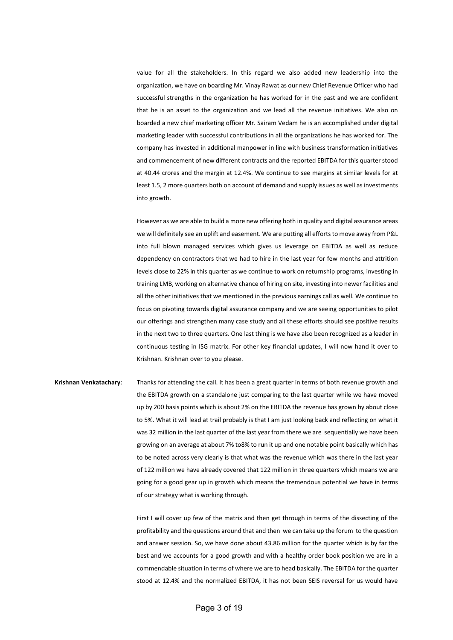value for all the stakeholders. In this regard we also added new leadership into the organization, we have on boarding Mr. Vinay Rawat as our new Chief Revenue Officer who had successful strengths in the organization he has worked for in the past and we are confident that he is an asset to the organization and we lead all the revenue initiatives. We also on boarded a new chief marketing officer Mr. Sairam Vedam he is an accomplished under digital marketing leader with successful contributions in all the organizations he has worked for. The company has invested in additional manpower in line with business transformation initiatives and commencement of new different contracts and the reported EBITDA for this quarter stood at 40.44 crores and the margin at 12.4%. We continue to see margins at similar levels for at least 1.5, 2 more quarters both on account of demand and supply issues as well as investments into growth.

However as we are able to build a more new offering both in quality and digital assurance areas we will definitely see an uplift and easement. We are putting all efforts to move away from P&L into full blown managed services which gives us leverage on EBITDA as well as reduce dependency on contractors that we had to hire in the last year for few months and attrition levels close to 22% in this quarter as we continue to work on returnship programs, investing in training LMB, working on alternative chance of hiring on site, investing into newer facilities and all the other initiatives that we mentioned in the previous earnings call as well. We continue to focus on pivoting towards digital assurance company and we are seeing opportunities to pilot our offerings and strengthen many case study and all these efforts should see positive results in the next two to three quarters. One last thing is we have also been recognized as a leader in continuous testing in ISG matrix. For other key financial updates, I will now hand it over to Krishnan. Krishnan over to you please.

**Krishnan Venkatachary**: Thanks for attending the call. It has been a great quarter in terms of both revenue growth and the EBITDA growth on a standalone just comparing to the last quarter while we have moved up by 200 basis points which is about 2% on the EBITDA the revenue has grown by about close to 5%. What it will lead at trail probably is that I am just looking back and reflecting on what it was 32 million in the last quarter of the last year from there we are sequentially we have been growing on an average at about 7% to8% to run it up and one notable point basically which has to be noted across very clearly is that what was the revenue which was there in the last year of 122 million we have already covered that 122 million in three quarters which means we are going for a good gear up in growth which means the tremendous potential we have in terms of our strategy what is working through.

> First I will cover up few of the matrix and then get through in terms of the dissecting of the profitability and the questions around that and then we can take up the forum to the question and answer session. So, we have done about 43.86 million for the quarter which is by far the best and we accounts for a good growth and with a healthy order book position we are in a commendable situation in terms of where we are to head basically. The EBITDA for the quarter stood at 12.4% and the normalized EBITDA, it has not been SEIS reversal for us would have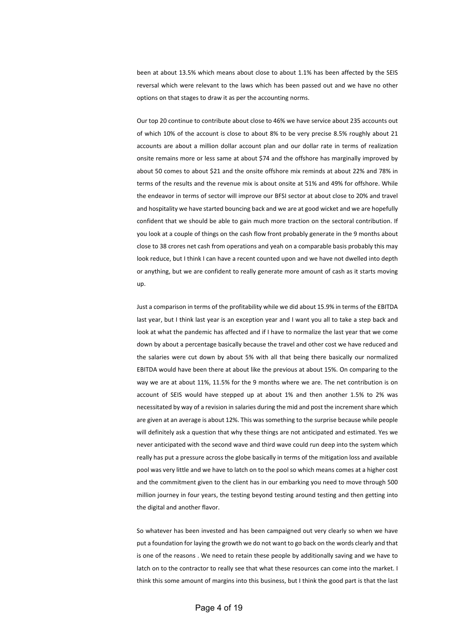been at about 13.5% which means about close to about 1.1% has been affected by the SEIS reversal which were relevant to the laws which has been passed out and we have no other options on that stages to draw it as per the accounting norms.

Our top 20 continue to contribute about close to 46% we have service about 235 accounts out of which 10% of the account is close to about 8% to be very precise 8.5% roughly about 21 accounts are about a million dollar account plan and our dollar rate in terms of realization onsite remains more or less same at about \$74 and the offshore has marginally improved by about 50 comes to about \$21 and the onsite offshore mix reminds at about 22% and 78% in terms of the results and the revenue mix is about onsite at 51% and 49% for offshore. While the endeavor in terms of sector will improve our BFSI sector at about close to 20% and travel and hospitality we have started bouncing back and we are at good wicket and we are hopefully confident that we should be able to gain much more traction on the sectoral contribution. If you look at a couple of things on the cash flow front probably generate in the 9 months about close to 38 crores net cash from operations and yeah on a comparable basis probably this may look reduce, but I think I can have a recent counted upon and we have not dwelled into depth or anything, but we are confident to really generate more amount of cash as it starts moving up.

Just a comparison in terms of the profitability while we did about 15.9% in terms of the EBITDA last year, but I think last year is an exception year and I want you all to take a step back and look at what the pandemic has affected and if I have to normalize the last year that we come down by about a percentage basically because the travel and other cost we have reduced and the salaries were cut down by about 5% with all that being there basically our normalized EBITDA would have been there at about like the previous at about 15%. On comparing to the way we are at about 11%, 11.5% for the 9 months where we are. The net contribution is on account of SEIS would have stepped up at about 1% and then another 1.5% to 2% was necessitated by way of a revision in salaries during the mid and post the increment share which are given at an average is about 12%. This was something to the surprise because while people will definitely ask a question that why these things are not anticipated and estimated. Yes we never anticipated with the second wave and third wave could run deep into the system which really has put a pressure across the globe basically in terms of the mitigation loss and available pool was very little and we have to latch on to the pool so which means comes at a higher cost and the commitment given to the client has in our embarking you need to move through 500 million journey in four years, the testing beyond testing around testing and then getting into the digital and another flavor.

So whatever has been invested and has been campaigned out very clearly so when we have put a foundation for laying the growth we do not want to go back on the words clearly and that is one of the reasons . We need to retain these people by additionally saving and we have to latch on to the contractor to really see that what these resources can come into the market. I think this some amount of margins into this business, but I think the good part is that the last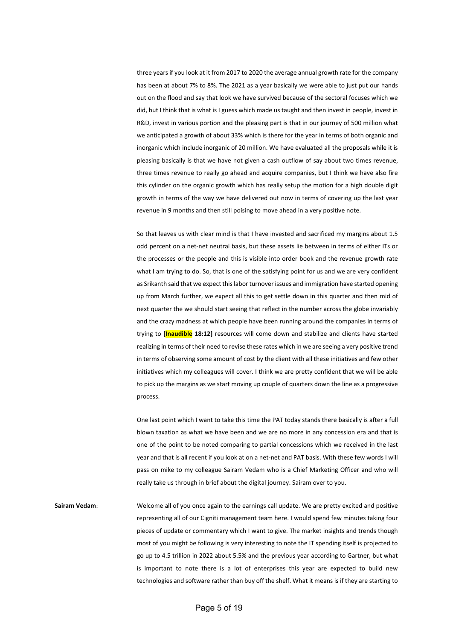three years if you look at it from 2017 to 2020 the average annual growth rate for the company has been at about 7% to 8%. The 2021 as a year basically we were able to just put our hands out on the flood and say that look we have survived because of the sectoral focuses which we did, but I think that is what is I guess which made us taught and then invest in people, invest in R&D, invest in various portion and the pleasing part is that in our journey of 500 million what we anticipated a growth of about 33% which is there for the year in terms of both organic and inorganic which include inorganic of 20 million. We have evaluated all the proposals while it is pleasing basically is that we have not given a cash outflow of say about two times revenue, three times revenue to really go ahead and acquire companies, but I think we have also fire this cylinder on the organic growth which has really setup the motion for a high double digit growth in terms of the way we have delivered out now in terms of covering up the last year revenue in 9 months and then still poising to move ahead in a very positive note.

So that leaves us with clear mind is that I have invested and sacrificed my margins about 1.5 odd percent on a net-net neutral basis, but these assets lie between in terms of either ITs or the processes or the people and this is visible into order book and the revenue growth rate what I am trying to do. So, that is one of the satisfying point for us and we are very confident as Srikanth said that we expect this labor turnover issues and immigration have started opening up from March further, we expect all this to get settle down in this quarter and then mid of next quarter the we should start seeing that reflect in the number across the globe invariably and the crazy madness at which people have been running around the companies in terms of trying to **[Inaudible 18:12]** resources will come down and stabilize and clients have started realizing in terms of their need to revise these rates which in we are seeing a very positive trend in terms of observing some amount of cost by the client with all these initiatives and few other initiatives which my colleagues will cover. I think we are pretty confident that we will be able to pick up the margins as we start moving up couple of quarters down the line as a progressive process.

One last point which I want to take this time the PAT today stands there basically is after a full blown taxation as what we have been and we are no more in any concession era and that is one of the point to be noted comparing to partial concessions which we received in the last year and that is all recent if you look at on a net-net and PAT basis. With these few words I will pass on mike to my colleague Sairam Vedam who is a Chief Marketing Officer and who will really take us through in brief about the digital journey. Sairam over to you.

**Sairam Vedam**: Welcome all of you once again to the earnings call update. We are pretty excited and positive representing all of our Cigniti management team here. I would spend few minutes taking four pieces of update or commentary which I want to give. The market insights and trends though most of you might be following is very interesting to note the IT spending itself is projected to go up to 4.5 trillion in 2022 about 5.5% and the previous year according to Gartner, but what is important to note there is a lot of enterprises this year are expected to build new technologies and software rather than buy off the shelf. What it means is if they are starting to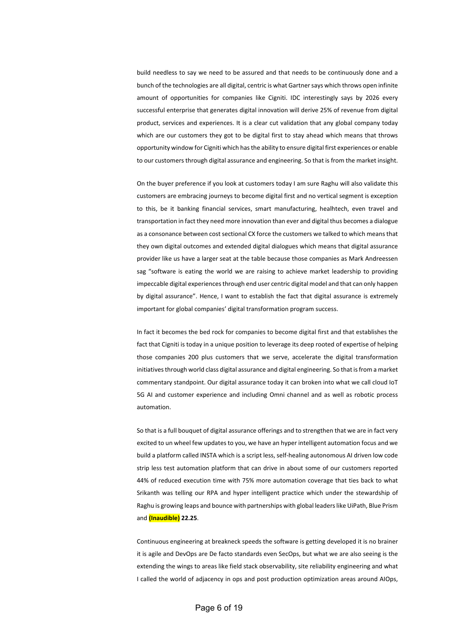build needless to say we need to be assured and that needs to be continuously done and a bunch of the technologies are all digital, centric is what Gartner says which throws open infinite amount of opportunities for companies like Cigniti. IDC interestingly says by 2026 every successful enterprise that generates digital innovation will derive 25% of revenue from digital product, services and experiences. It is a clear cut validation that any global company today which are our customers they got to be digital first to stay ahead which means that throws opportunity window for Cigniti which has the ability to ensure digital first experiences or enable to our customers through digital assurance and engineering. So that is from the market insight.

On the buyer preference if you look at customers today I am sure Raghu will also validate this customers are embracing journeys to become digital first and no vertical segment is exception to this, be it banking financial services, smart manufacturing, healhtech, even travel and transportation in fact they need more innovation than ever and digital thus becomes a dialogue as a consonance between cost sectional CX force the customers we talked to which means that they own digital outcomes and extended digital dialogues which means that digital assurance provider like us have a larger seat at the table because those companies as Mark Andreessen sag "software is eating the world we are raising to achieve market leadership to providing impeccable digital experiences through end user centric digital model and that can only happen by digital assurance". Hence, I want to establish the fact that digital assurance is extremely important for global companies' digital transformation program success.

In fact it becomes the bed rock for companies to become digital first and that establishes the fact that Cigniti is today in a unique position to leverage its deep rooted of expertise of helping those companies 200 plus customers that we serve, accelerate the digital transformation initiatives through world class digital assurance and digital engineering. So that is from a market commentary standpoint. Our digital assurance today it can broken into what we call cloud IoT 5G AI and customer experience and including Omni channel and as well as robotic process automation.

So that is a full bouquet of digital assurance offerings and to strengthen that we are in fact very excited to un wheel few updates to you, we have an hyper intelligent automation focus and we build a platform called INSTA which is a script less, self-healing autonomous AI driven low code strip less test automation platform that can drive in about some of our customers reported 44% of reduced execution time with 75% more automation coverage that ties back to what Srikanth was telling our RPA and hyper intelligent practice which under the stewardship of Raghu is growing leaps and bounce with partnerships with global leaders like UiPath, Blue Prism and **(Inaudible) 22.25**.

Continuous engineering at breakneck speeds the software is getting developed it is no brainer it is agile and DevOps are De facto standards even SecOps, but what we are also seeing is the extending the wings to areas like field stack observability, site reliability engineering and what I called the world of adjacency in ops and post production optimization areas around AIOps,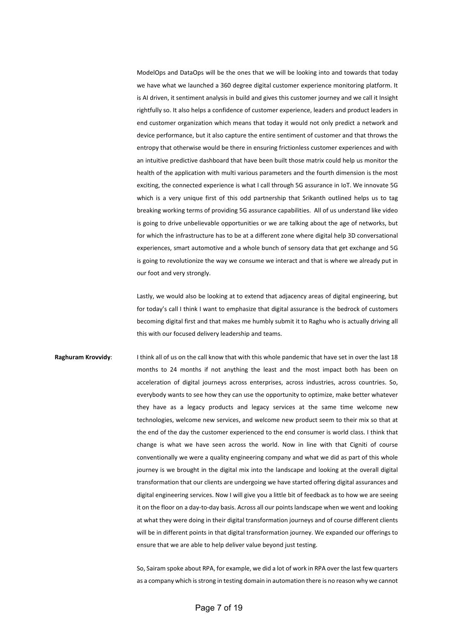ModelOps and DataOps will be the ones that we will be looking into and towards that today we have what we launched a 360 degree digital customer experience monitoring platform. It is AI driven, it sentiment analysis in build and gives this customer journey and we call it Insight rightfully so. It also helps a confidence of customer experience, leaders and product leaders in end customer organization which means that today it would not only predict a network and device performance, but it also capture the entire sentiment of customer and that throws the entropy that otherwise would be there in ensuring frictionless customer experiences and with an intuitive predictive dashboard that have been built those matrix could help us monitor the health of the application with multi various parameters and the fourth dimension is the most exciting, the connected experience is what I call through 5G assurance in IoT. We innovate 5G which is a very unique first of this odd partnership that Srikanth outlined helps us to tag breaking working terms of providing 5G assurance capabilities. All of us understand like video is going to drive unbelievable opportunities or we are talking about the age of networks, but for which the infrastructure has to be at a different zone where digital help 3D conversational experiences, smart automotive and a whole bunch of sensory data that get exchange and 5G is going to revolutionize the way we consume we interact and that is where we already put in our foot and very strongly.

Lastly, we would also be looking at to extend that adjacency areas of digital engineering, but for today's call I think I want to emphasize that digital assurance is the bedrock of customers becoming digital first and that makes me humbly submit it to Raghu who is actually driving all this with our focused delivery leadership and teams.

**Raghuram Krovvidy**: I think all of us on the call know that with this whole pandemic that have set in over the last 18 months to 24 months if not anything the least and the most impact both has been on acceleration of digital journeys across enterprises, across industries, across countries. So, everybody wants to see how they can use the opportunity to optimize, make better whatever they have as a legacy products and legacy services at the same time welcome new technologies, welcome new services, and welcome new product seem to their mix so that at the end of the day the customer experienced to the end consumer is world class. I think that change is what we have seen across the world. Now in line with that Cigniti of course conventionally we were a quality engineering company and what we did as part of this whole journey is we brought in the digital mix into the landscape and looking at the overall digital transformation that our clients are undergoing we have started offering digital assurances and digital engineering services. Now I will give you a little bit of feedback as to how we are seeing it on the floor on a day-to-day basis. Across all our points landscape when we went and looking at what they were doing in their digital transformation journeys and of course different clients will be in different points in that digital transformation journey. We expanded our offerings to ensure that we are able to help deliver value beyond just testing.

> So, Sairam spoke about RPA, for example, we did a lot of work in RPA over the last few quarters as a company which is strong in testing domain in automation there is no reason why we cannot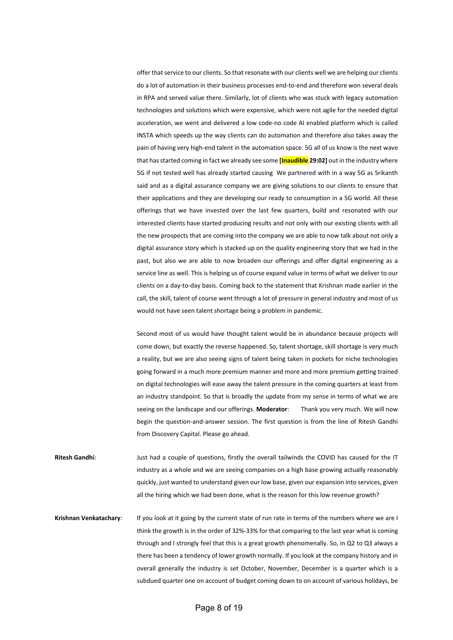offer that service to our clients. So that resonate with our clients well we are helping our clients do a lot of automation in their business processes end-to-end and therefore won several deals in RPA and served value there. Similarly, lot of clients who was stuck with legacy automation technologies and solutions which were expensive, which were not agile for the needed digital acceleration, we went and delivered a low code-no code AI enabled platform which is called INSTA which speeds up the way clients can do automation and therefore also takes away the pain of having very high-end talent in the automation space. 5G all of us know is the next wave that has started coming in fact we already see some **[Inaudible 29:02]** out in the industry where 5G if not tested well has already started causing We partnered with in a way 5G as Srikanth said and as a digital assurance company we are giving solutions to our clients to ensure that their applications and they are developing our ready to consumption in a 5G world. All these offerings that we have invested over the last few quarters, build and resonated with our interested clients have started producing results and not only with our existing clients with all the new prospects that are coming into the company we are able to now talk about not only a digital assurance story which is stacked up on the quality engineering story that we had in the past, but also we are able to now broaden our offerings and offer digital engineering as a service line as well. This is helping us of course expand value in terms of what we deliver to our clients on a day-to-day basis. Coming back to the statement that Krishnan made earlier in the call, the skill, talent of course went through a lot of pressure in general industry and most of us would not have seen talent shortage being a problem in pandemic.

Second most of us would have thought talent would be in abundance because projects will come down, but exactly the reverse happened. So, talent shortage, skill shortage is very much a reality, but we are also seeing signs of talent being taken in pockets for niche technologies going forward in a much more premium manner and more and more premium getting trained on digital technologies will ease away the talent pressure in the coming quarters at least from an industry standpoint. So that is broadly the update from my sense in terms of what we are seeing on the landscape and our offerings. **Moderator**: Thank you very much. We will now begin the question-and-answer session. The first question is from the line of Ritesh Gandhi from Discovery Capital. Please go ahead.

**Ritesh Gandhi**: Just had a couple of questions, firstly the overall tailwinds the COVID has caused for the IT industry as a whole and we are seeing companies on a high base growing actually reasonably quickly, just wanted to understand given our low base, given our expansion into services, given all the hiring which we had been done, what is the reason for this low revenue growth?

**Krishnan Venkatachary**: If you look at it going by the current state of run rate in terms of the numbers where we are I think the growth is in the order of 32%-33% for that comparing to the last year what is coming through and I strongly feel that this is a great growth phenomenally. So, in Q2 to Q3 always a there has been a tendency of lower growth normally. If you look at the company history and in overall generally the industry is set October, November, December is a quarter which is a subdued quarter one on account of budget coming down to on account of various holidays, be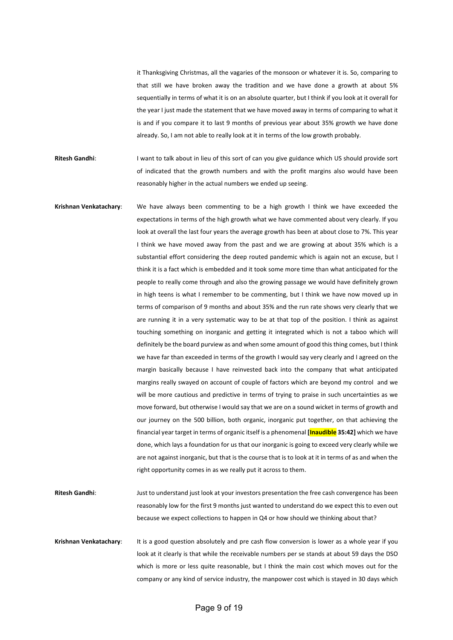it Thanksgiving Christmas, all the vagaries of the monsoon or whatever it is. So, comparing to that still we have broken away the tradition and we have done a growth at about 5% sequentially in terms of what it is on an absolute quarter, but I think if you look at it overall for the year I just made the statement that we have moved away in terms of comparing to what it is and if you compare it to last 9 months of previous year about 35% growth we have done already. So, I am not able to really look at it in terms of the low growth probably.

**Ritesh Gandhi:** I want to talk about in lieu of this sort of can you give guidance which US should provide sort of indicated that the growth numbers and with the profit margins also would have been reasonably higher in the actual numbers we ended up seeing.

**Krishnan Venkatachary**: We have always been commenting to be a high growth I think we have exceeded the expectations in terms of the high growth what we have commented about very clearly. If you look at overall the last four years the average growth has been at about close to 7%. This year I think we have moved away from the past and we are growing at about 35% which is a substantial effort considering the deep routed pandemic which is again not an excuse, but I think it is a fact which is embedded and it took some more time than what anticipated for the people to really come through and also the growing passage we would have definitely grown in high teens is what I remember to be commenting, but I think we have now moved up in terms of comparison of 9 months and about 35% and the run rate shows very clearly that we are running it in a very systematic way to be at that top of the position. I think as against touching something on inorganic and getting it integrated which is not a taboo which will definitely be the board purview as and when some amount of good this thing comes, but I think we have far than exceeded in terms of the growth I would say very clearly and I agreed on the margin basically because I have reinvested back into the company that what anticipated margins really swayed on account of couple of factors which are beyond my control and we will be more cautious and predictive in terms of trying to praise in such uncertainties as we move forward, but otherwise I would say that we are on a sound wicket in terms of growth and our journey on the 500 billion, both organic, inorganic put together, on that achieving the financial year target in terms of organic itself is a phenomenal **[Inaudible 35:42]** which we have done, which lays a foundation for us that our inorganic is going to exceed very clearly while we are not against inorganic, but that is the course that is to look at it in terms of as and when the right opportunity comes in as we really put it across to them.

**Ritesh Gandhi**: Just to understand just look at your investors presentation the free cash convergence has been reasonably low for the first 9 months just wanted to understand do we expect this to even out because we expect collections to happen in Q4 or how should we thinking about that?

**Krishnan Venkatachary**: It is a good question absolutely and pre cash flow conversion is lower as a whole year if you look at it clearly is that while the receivable numbers per se stands at about 59 days the DSO which is more or less quite reasonable, but I think the main cost which moves out for the company or any kind of service industry, the manpower cost which is stayed in 30 days which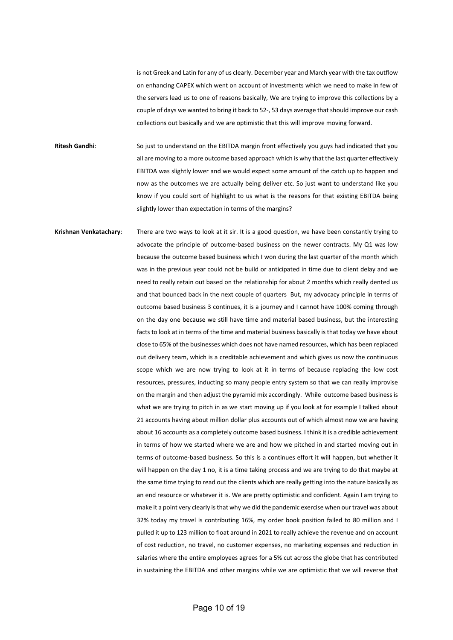is not Greek and Latin for any of us clearly. December year and March year with the tax outflow on enhancing CAPEX which went on account of investments which we need to make in few of the servers lead us to one of reasons basically, We are trying to improve this collections by a couple of days we wanted to bring it back to 52-, 53 days average that should improve our cash collections out basically and we are optimistic that this will improve moving forward.

**Ritesh Gandhi**: So just to understand on the EBITDA margin front effectively you guys had indicated that you all are moving to a more outcome based approach which is why that the last quarter effectively EBITDA was slightly lower and we would expect some amount of the catch up to happen and now as the outcomes we are actually being deliver etc. So just want to understand like you know if you could sort of highlight to us what is the reasons for that existing EBITDA being slightly lower than expectation in terms of the margins?

**Krishnan Venkatachary**: There are two ways to look at it sir. It is a good question, we have been constantly trying to advocate the principle of outcome-based business on the newer contracts. My Q1 was low because the outcome based business which I won during the last quarter of the month which was in the previous year could not be build or anticipated in time due to client delay and we need to really retain out based on the relationship for about 2 months which really dented us and that bounced back in the next couple of quarters But, my advocacy principle in terms of outcome based business 3 continues, it is a journey and I cannot have 100% coming through on the day one because we still have time and material based business, but the interesting facts to look at in terms of the time and material business basically is that today we have about close to 65% of the businesses which does not have named resources, which has been replaced out delivery team, which is a creditable achievement and which gives us now the continuous scope which we are now trying to look at it in terms of because replacing the low cost resources, pressures, inducting so many people entry system so that we can really improvise on the margin and then adjust the pyramid mix accordingly. While outcome based business is what we are trying to pitch in as we start moving up if you look at for example I talked about 21 accounts having about million dollar plus accounts out of which almost now we are having about 16 accounts as a completely outcome based business. I think it is a credible achievement in terms of how we started where we are and how we pitched in and started moving out in terms of outcome-based business. So this is a continues effort it will happen, but whether it will happen on the day 1 no, it is a time taking process and we are trying to do that maybe at the same time trying to read out the clients which are really getting into the nature basically as an end resource or whatever it is. We are pretty optimistic and confident. Again I am trying to make it a point very clearly is that why we did the pandemic exercise when our travel was about 32% today my travel is contributing 16%, my order book position failed to 80 million and I pulled it up to 123 million to float around in 2021 to really achieve the revenue and on account of cost reduction, no travel, no customer expenses, no marketing expenses and reduction in salaries where the entire employees agrees for a 5% cut across the globe that has contributed in sustaining the EBITDA and other margins while we are optimistic that we will reverse that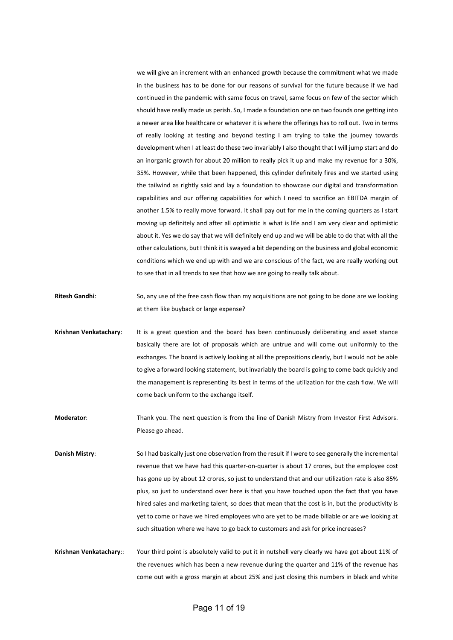we will give an increment with an enhanced growth because the commitment what we made in the business has to be done for our reasons of survival for the future because if we had continued in the pandemic with same focus on travel, same focus on few of the sector which should have really made us perish. So, I made a foundation one on two founds one getting into a newer area like healthcare or whatever it is where the offerings has to roll out. Two in terms of really looking at testing and beyond testing I am trying to take the journey towards development when I at least do these two invariably I also thought that I will jump start and do an inorganic growth for about 20 million to really pick it up and make my revenue for a 30%, 35%. However, while that been happened, this cylinder definitely fires and we started using the tailwind as rightly said and lay a foundation to showcase our digital and transformation capabilities and our offering capabilities for which I need to sacrifice an EBITDA margin of another 1.5% to really move forward. It shall pay out for me in the coming quarters as I start moving up definitely and after all optimistic is what is life and I am very clear and optimistic about it. Yes we do say that we will definitely end up and we will be able to do that with all the other calculations, but I think it is swayed a bit depending on the business and global economic conditions which we end up with and we are conscious of the fact, we are really working out to see that in all trends to see that how we are going to really talk about.

- **Ritesh Gandhi**: So, any use of the free cash flow than my acquisitions are not going to be done are we looking at them like buyback or large expense?
- **Krishnan Venkatachary**: It is a great question and the board has been continuously deliberating and asset stance basically there are lot of proposals which are untrue and will come out uniformly to the exchanges. The board is actively looking at all the prepositions clearly, but I would not be able to give a forward looking statement, but invariably the board is going to come back quickly and the management is representing its best in terms of the utilization for the cash flow. We will come back uniform to the exchange itself.
- **Moderator**: Thank you. The next question is from the line of Danish Mistry from Investor First Advisors. Please go ahead.
- **Danish Mistry**: So I had basically just one observation from the result if I were to see generally the incremental revenue that we have had this quarter-on-quarter is about 17 crores, but the employee cost has gone up by about 12 crores, so just to understand that and our utilization rate is also 85% plus, so just to understand over here is that you have touched upon the fact that you have hired sales and marketing talent, so does that mean that the cost is in, but the productivity is yet to come or have we hired employees who are yet to be made billable or are we looking at such situation where we have to go back to customers and ask for price increases?
- **Krishnan Venkatachary**:: Your third point is absolutely valid to put it in nutshell very clearly we have got about 11% of the revenues which has been a new revenue during the quarter and 11% of the revenue has come out with a gross margin at about 25% and just closing this numbers in black and white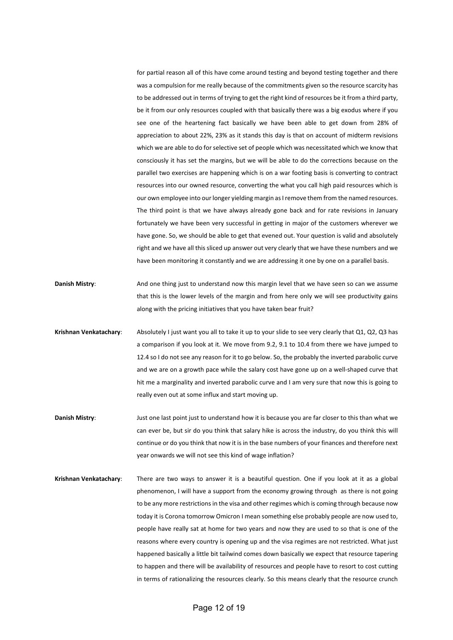for partial reason all of this have come around testing and beyond testing together and there was a compulsion for me really because of the commitments given so the resource scarcity has to be addressed out in terms of trying to get the right kind of resources be it from a third party, be it from our only resources coupled with that basically there was a big exodus where if you see one of the heartening fact basically we have been able to get down from 28% of appreciation to about 22%, 23% as it stands this day is that on account of midterm revisions which we are able to do for selective set of people which was necessitated which we know that consciously it has set the margins, but we will be able to do the corrections because on the parallel two exercises are happening which is on a war footing basis is converting to contract resources into our owned resource, converting the what you call high paid resources which is our own employee into our longer yielding margin as I remove them from the named resources. The third point is that we have always already gone back and for rate revisions in January fortunately we have been very successful in getting in major of the customers wherever we have gone. So, we should be able to get that evened out. Your question is valid and absolutely right and we have all this sliced up answer out very clearly that we have these numbers and we have been monitoring it constantly and we are addressing it one by one on a parallel basis.

- **Danish Mistry:** And one thing just to understand now this margin level that we have seen so can we assume that this is the lower levels of the margin and from here only we will see productivity gains along with the pricing initiatives that you have taken bear fruit?
- **Krishnan Venkatachary**: Absolutely I just want you all to take it up to your slide to see very clearly that Q1, Q2, Q3 has a comparison if you look at it. We move from 9.2, 9.1 to 10.4 from there we have jumped to 12.4 so I do not see any reason for it to go below. So, the probably the inverted parabolic curve and we are on a growth pace while the salary cost have gone up on a well-shaped curve that hit me a marginality and inverted parabolic curve and I am very sure that now this is going to really even out at some influx and start moving up.
- **Danish Mistry**: Just one last point just to understand how it is because you are far closer to this than what we can ever be, but sir do you think that salary hike is across the industry, do you think this will continue or do you think that now it is in the base numbers of your finances and therefore next year onwards we will not see this kind of wage inflation?
- **Krishnan Venkatachary**: There are two ways to answer it is a beautiful question. One if you look at it as a global phenomenon, I will have a support from the economy growing through as there is not going to be any more restrictions in the visa and other regimes which is coming through because now today it is Corona tomorrow Omicron I mean something else probably people are now used to, people have really sat at home for two years and now they are used to so that is one of the reasons where every country is opening up and the visa regimes are not restricted. What just happened basically a little bit tailwind comes down basically we expect that resource tapering to happen and there will be availability of resources and people have to resort to cost cutting in terms of rationalizing the resources clearly. So this means clearly that the resource crunch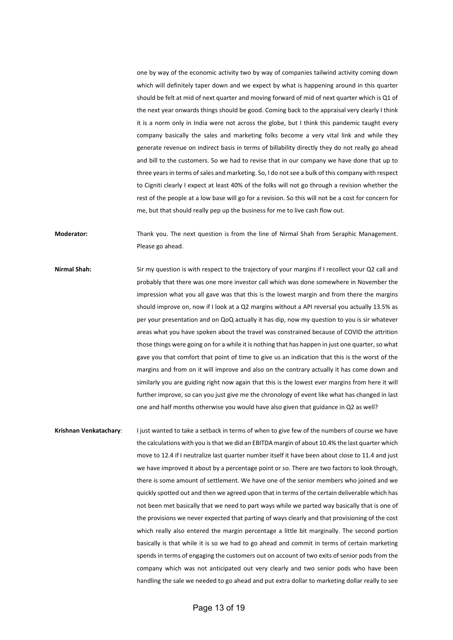one by way of the economic activity two by way of companies tailwind activity coming down which will definitely taper down and we expect by what is happening around in this quarter should be felt at mid of next quarter and moving forward of mid of next quarter which is Q1 of the next year onwards things should be good. Coming back to the appraisal very clearly I think it is a norm only in India were not across the globe, but I think this pandemic taught every company basically the sales and marketing folks become a very vital link and while they generate revenue on indirect basis in terms of billability directly they do not really go ahead and bill to the customers. So we had to revise that in our company we have done that up to three years in terms of sales and marketing. So, I do not see a bulk of this company with respect to Cigniti clearly I expect at least 40% of the folks will not go through a revision whether the rest of the people at a low base will go for a revision. So this will not be a cost for concern for me, but that should really pep up the business for me to live cash flow out.

**Moderator:** Thank you. The next question is from the line of Nirmal Shah from Seraphic Management. Please go ahead.

**Nirmal Shah:** Sir my question is with respect to the trajectory of your margins if I recollect your Q2 call and probably that there was one more investor call which was done somewhere in November the impression what you all gave was that this is the lowest margin and from there the margins should improve on, now if I look at a Q2 margins without a API reversal you actually 13.5% as per your presentation and on QoQ actually it has dip, now my question to you is sir whatever areas what you have spoken about the travel was constrained because of COVID the attrition those things were going on for a while it is nothing that has happen in just one quarter, so what gave you that comfort that point of time to give us an indication that this is the worst of the margins and from on it will improve and also on the contrary actually it has come down and similarly you are guiding right now again that this is the lowest ever margins from here it will further improve, so can you just give me the chronology of event like what has changed in last one and half months otherwise you would have also given that guidance in Q2 as well?

**Krishnan Venkatachary**: I just wanted to take a setback in terms of when to give few of the numbers of course we have the calculations with you is that we did an EBITDA margin of about 10.4% the last quarter which move to 12.4 if I neutralize last quarter number itself it have been about close to 11.4 and just we have improved it about by a percentage point or so. There are two factors to look through, there is some amount of settlement. We have one of the senior members who joined and we quickly spotted out and then we agreed upon that in terms of the certain deliverable which has not been met basically that we need to part ways while we parted way basically that is one of the provisions we never expected that parting of ways clearly and that provisioning of the cost which really also entered the margin percentage a little bit marginally. The second portion basically is that while it is so we had to go ahead and commit in terms of certain marketing spends in terms of engaging the customers out on account of two exits of senior pods from the company which was not anticipated out very clearly and two senior pods who have been handling the sale we needed to go ahead and put extra dollar to marketing dollar really to see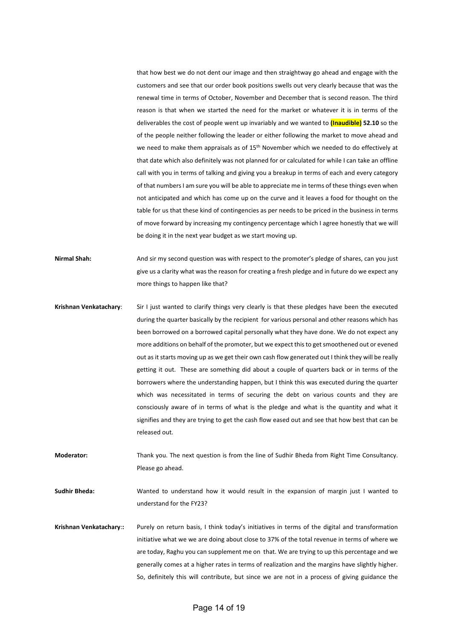that how best we do not dent our image and then straightway go ahead and engage with the customers and see that our order book positions swells out very clearly because that was the renewal time in terms of October, November and December that is second reason. The third reason is that when we started the need for the market or whatever it is in terms of the deliverables the cost of people went up invariably and we wanted to **(Inaudible) 52.10** so the of the people neither following the leader or either following the market to move ahead and we need to make them appraisals as of 15<sup>th</sup> November which we needed to do effectively at that date which also definitely was not planned for or calculated for while I can take an offline call with you in terms of talking and giving you a breakup in terms of each and every category of that numbers I am sure you will be able to appreciate me in terms of these things even when not anticipated and which has come up on the curve and it leaves a food for thought on the table for us that these kind of contingencies as per needs to be priced in the business in terms of move forward by increasing my contingency percentage which I agree honestly that we will be doing it in the next year budget as we start moving up.

- **Nirmal Shah:** And sir my second question was with respect to the promoter's pledge of shares, can you just give us a clarity what was the reason for creating a fresh pledge and in future do we expect any more things to happen like that?
- **Krishnan Venkatachary**: Sir I just wanted to clarify things very clearly is that these pledges have been the executed during the quarter basically by the recipient for various personal and other reasons which has been borrowed on a borrowed capital personally what they have done. We do not expect any more additions on behalf of the promoter, but we expect this to get smoothened out or evened out as it starts moving up as we get their own cash flow generated out I think they will be really getting it out. These are something did about a couple of quarters back or in terms of the borrowers where the understanding happen, but I think this was executed during the quarter which was necessitated in terms of securing the debt on various counts and they are consciously aware of in terms of what is the pledge and what is the quantity and what it signifies and they are trying to get the cash flow eased out and see that how best that can be released out.
- **Moderator:** Thank you. The next question is from the line of Sudhir Bheda from Right Time Consultancy. Please go ahead.

**Sudhir Bheda:** Wanted to understand how it would result in the expansion of margin just I wanted to understand for the FY23?

**Krishnan Venkatachary**:**:** Purely on return basis, I think today's initiatives in terms of the digital and transformation initiative what we we are doing about close to 37% of the total revenue in terms of where we are today, Raghu you can supplement me on that. We are trying to up this percentage and we generally comes at a higher rates in terms of realization and the margins have slightly higher. So, definitely this will contribute, but since we are not in a process of giving guidance the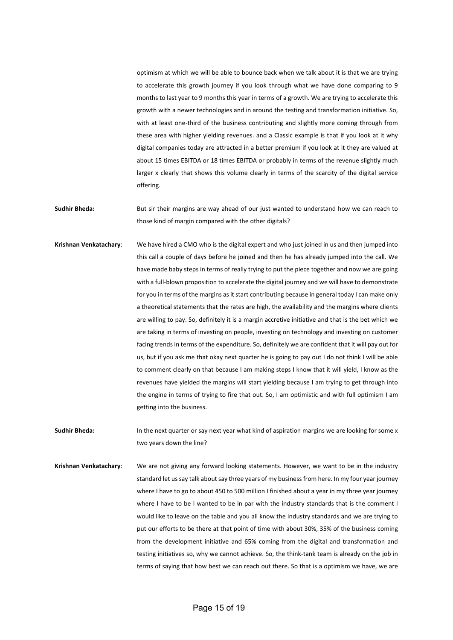optimism at which we will be able to bounce back when we talk about it is that we are trying to accelerate this growth journey if you look through what we have done comparing to 9 months to last year to 9 months this year in terms of a growth. We are trying to accelerate this growth with a newer technologies and in around the testing and transformation initiative. So, with at least one-third of the business contributing and slightly more coming through from these area with higher yielding revenues. and a Classic example is that if you look at it why digital companies today are attracted in a better premium if you look at it they are valued at about 15 times EBITDA or 18 times EBITDA or probably in terms of the revenue slightly much larger x clearly that shows this volume clearly in terms of the scarcity of the digital service offering.

**Sudhir Bheda:** But sir their margins are way ahead of our just wanted to understand how we can reach to those kind of margin compared with the other digitals?

**Krishnan Venkatachary**: We have hired a CMO who is the digital expert and who just joined in us and then jumped into this call a couple of days before he joined and then he has already jumped into the call. We have made baby steps in terms of really trying to put the piece together and now we are going with a full-blown proposition to accelerate the digital journey and we will have to demonstrate for you in terms of the margins as it start contributing because in general today I can make only a theoretical statements that the rates are high, the availability and the margins where clients are willing to pay. So, definitely it is a margin accretive initiative and that is the bet which we are taking in terms of investing on people, investing on technology and investing on customer facing trends in terms of the expenditure. So, definitely we are confident that it will pay out for us, but if you ask me that okay next quarter he is going to pay out I do not think I will be able to comment clearly on that because I am making steps I know that it will yield, I know as the revenues have yielded the margins will start yielding because I am trying to get through into the engine in terms of trying to fire that out. So, I am optimistic and with full optimism I am getting into the business.

**Sudhir Bheda:** In the next quarter or say next year what kind of aspiration margins we are looking for some x two years down the line?

**Krishnan Venkatachary**: We are not giving any forward looking statements. However, we want to be in the industry standard let us say talk about say three years of my business from here. In my four year journey where I have to go to about 450 to 500 million I finished about a year in my three year journey where I have to be I wanted to be in par with the industry standards that is the comment I would like to leave on the table and you all know the industry standards and we are trying to put our efforts to be there at that point of time with about 30%, 35% of the business coming from the development initiative and 65% coming from the digital and transformation and testing initiatives so, why we cannot achieve. So, the think-tank team is already on the job in terms of saying that how best we can reach out there. So that is a optimism we have, we are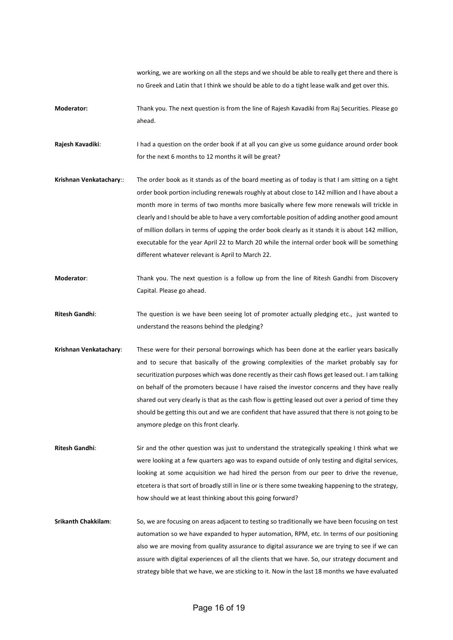working, we are working on all the steps and we should be able to really get there and there is no Greek and Latin that I think we should be able to do a tight lease walk and get over this.

**Moderator:** Thank you. The next question is from the line of Rajesh Kavadiki from Raj Securities. Please go ahead.

**Rajesh Kavadiki:** I had a question on the order book if at all you can give us some guidance around order book for the next 6 months to 12 months it will be great?

- **Krishnan Venkatachary**:: The order book as it stands as of the board meeting as of today is that I am sitting on a tight order book portion including renewals roughly at about close to 142 million and I have about a month more in terms of two months more basically where few more renewals will trickle in clearly and I should be able to have a very comfortable position of adding another good amount of million dollars in terms of upping the order book clearly as it stands it is about 142 million, executable for the year April 22 to March 20 while the internal order book will be something different whatever relevant is April to March 22.
- **Moderator**: Thank you. The next question is a follow up from the line of Ritesh Gandhi from Discovery Capital. Please go ahead.
- **Ritesh Gandhi**: The question is we have been seeing lot of promoter actually pledging etc., just wanted to understand the reasons behind the pledging?
- **Krishnan Venkatachary**: These were for their personal borrowings which has been done at the earlier years basically and to secure that basically of the growing complexities of the market probably say for securitization purposes which was done recently as their cash flows get leased out. I am talking on behalf of the promoters because I have raised the investor concerns and they have really shared out very clearly is that as the cash flow is getting leased out over a period of time they should be getting this out and we are confident that have assured that there is not going to be anymore pledge on this front clearly.
- **Ritesh Gandhi:** Sir and the other question was just to understand the strategically speaking I think what we were looking at a few quarters ago was to expand outside of only testing and digital services, looking at some acquisition we had hired the person from our peer to drive the revenue, etcetera is that sort of broadly still in line or is there some tweaking happening to the strategy, how should we at least thinking about this going forward?
- **Srikanth Chakkilam**: So, we are focusing on areas adjacent to testing so traditionally we have been focusing on test automation so we have expanded to hyper automation, RPM, etc. In terms of our positioning also we are moving from quality assurance to digital assurance we are trying to see if we can assure with digital experiences of all the clients that we have. So, our strategy document and strategy bible that we have, we are sticking to it. Now in the last 18 months we have evaluated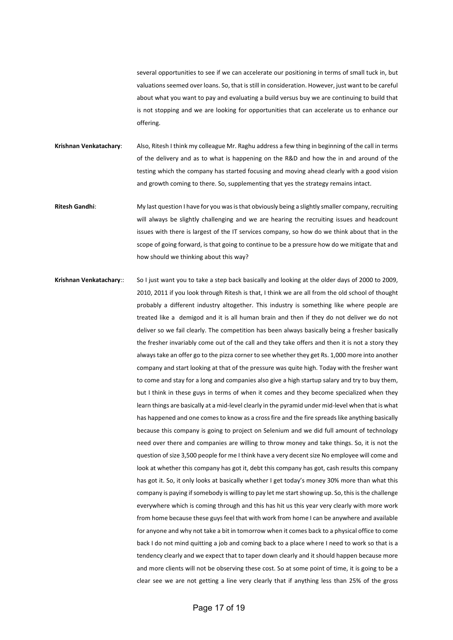several opportunities to see if we can accelerate our positioning in terms of small tuck in, but valuations seemed over loans. So, that is still in consideration. However, just want to be careful about what you want to pay and evaluating a build versus buy we are continuing to build that is not stopping and we are looking for opportunities that can accelerate us to enhance our offering.

**Krishnan Venkatachary**: Also, Ritesh I think my colleague Mr. Raghu address a few thing in beginning of the call in terms of the delivery and as to what is happening on the R&D and how the in and around of the testing which the company has started focusing and moving ahead clearly with a good vision and growth coming to there. So, supplementing that yes the strategy remains intact.

- **Ritesh Gandhi**: My last question I have for you was is that obviously being a slightly smaller company, recruiting will always be slightly challenging and we are hearing the recruiting issues and headcount issues with there is largest of the IT services company, so how do we think about that in the scope of going forward, is that going to continue to be a pressure how do we mitigate that and how should we thinking about this way?
- **Krishnan Venkatachary**:: So I just want you to take a step back basically and looking at the older days of 2000 to 2009, 2010, 2011 if you look through Ritesh is that, I think we are all from the old school of thought probably a different industry altogether. This industry is something like where people are treated like a demigod and it is all human brain and then if they do not deliver we do not deliver so we fail clearly. The competition has been always basically being a fresher basically the fresher invariably come out of the call and they take offers and then it is not a story they always take an offer go to the pizza corner to see whether they get Rs. 1,000 more into another company and start looking at that of the pressure was quite high. Today with the fresher want to come and stay for a long and companies also give a high startup salary and try to buy them, but I think in these guys in terms of when it comes and they become specialized when they learn things are basically at a mid-level clearly in the pyramid under mid-level when that is what has happened and one comes to know as a cross fire and the fire spreads like anything basically because this company is going to project on Selenium and we did full amount of technology need over there and companies are willing to throw money and take things. So, it is not the question of size 3,500 people for me I think have a very decent size No employee will come and look at whether this company has got it, debt this company has got, cash results this company has got it. So, it only looks at basically whether I get today's money 30% more than what this company is paying if somebody is willing to pay let me start showing up. So, this is the challenge everywhere which is coming through and this has hit us this year very clearly with more work from home because these guys feel that with work from home I can be anywhere and available for anyone and why not take a bit in tomorrow when it comes back to a physical office to come back I do not mind quitting a job and coming back to a place where I need to work so that is a tendency clearly and we expect that to taper down clearly and it should happen because more and more clients will not be observing these cost. So at some point of time, it is going to be a clear see we are not getting a line very clearly that if anything less than 25% of the gross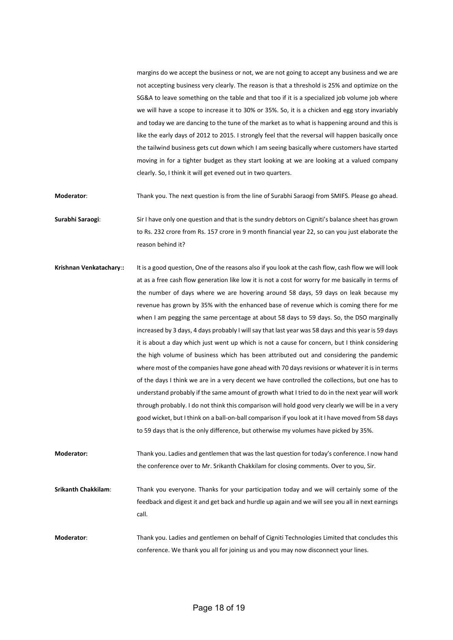margins do we accept the business or not, we are not going to accept any business and we are not accepting business very clearly. The reason is that a threshold is 25% and optimize on the SG&A to leave something on the table and that too if it is a specialized job volume job where we will have a scope to increase it to 30% or 35%. So, it is a chicken and egg story invariably and today we are dancing to the tune of the market as to what is happening around and this is like the early days of 2012 to 2015. I strongly feel that the reversal will happen basically once the tailwind business gets cut down which I am seeing basically where customers have started moving in for a tighter budget as they start looking at we are looking at a valued company clearly. So, I think it will get evened out in two quarters.

**Moderator**: Thank you. The next question is from the line of Surabhi Saraogi from SMIFS. Please go ahead.

**Surabhi Saraogi**: Sir I have only one question and that is the sundry debtors on Cigniti's balance sheet has grown to Rs. 232 crore from Rs. 157 crore in 9 month financial year 22, so can you just elaborate the reason behind it?

**Krishnan Venkatachary**:**:** It is a good question, One of the reasons also if you look at the cash flow, cash flow we will look at as a free cash flow generation like low it is not a cost for worry for me basically in terms of the number of days where we are hovering around 58 days, 59 days on leak because my revenue has grown by 35% with the enhanced base of revenue which is coming there for me when I am pegging the same percentage at about 58 days to 59 days. So, the DSO marginally increased by 3 days, 4 days probably I will say that last year was 58 days and this year is 59 days it is about a day which just went up which is not a cause for concern, but I think considering the high volume of business which has been attributed out and considering the pandemic where most of the companies have gone ahead with 70 days revisions or whatever it is in terms of the days I think we are in a very decent we have controlled the collections, but one has to understand probably if the same amount of growth what I tried to do in the next year will work through probably. I do not think this comparison will hold good very clearly we will be in a very good wicket, but I think on a ball-on-ball comparison if you look at it I have moved from 58 days to 59 days that is the only difference, but otherwise my volumes have picked by 35%.

**Moderator:** Thank you. Ladies and gentlemen that was the last question for today's conference. I now hand the conference over to Mr. Srikanth Chakkilam for closing comments. Over to you, Sir.

**Srikanth Chakkilam**: Thank you everyone. Thanks for your participation today and we will certainly some of the feedback and digest it and get back and hurdle up again and we will see you all in next earnings call.

**Moderator**: Thank you. Ladies and gentlemen on behalf of Cigniti Technologies Limited that concludes this conference. We thank you all for joining us and you may now disconnect your lines.